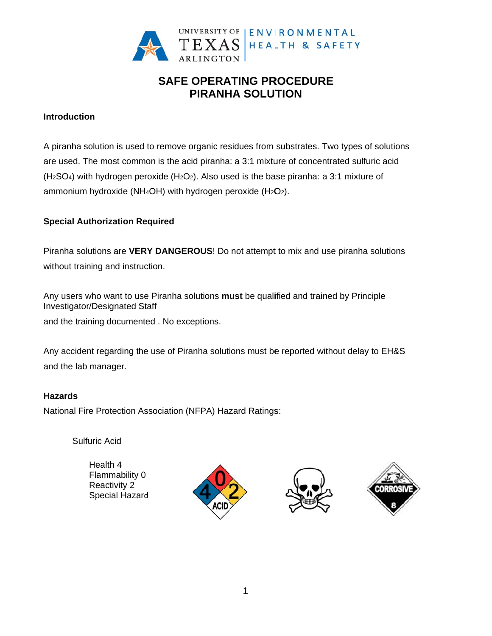

## **SAFE OPERATING PROCEDURE PIRANHA SOLUTION**

#### **Introduction**

A piranha solution is used to remove organic residues from substrates. Two types of solutions are used. The most common is the acid piranha: a 3:1 mixture of concentrated sulfuric acid (H<sub>2</sub>SO<sub>4</sub>) with hydrogen peroxide (H<sub>2</sub>O<sub>2</sub>). Also used is the base piranha: a 3:1 mixture of ammonium hydroxide (NH<sub>4</sub>OH) with hydrogen peroxide (H<sub>2</sub>O<sub>2</sub>).

## **Special Authorization Required**

Piranha solutions are VERY DANGEROUS! Do not attempt to mix and use piranha solutions without training and instruction.

Any users who want to use Piranha solutions must be qualified and trained by Principle **Investigator/Designated Staff** and the training documented . No exceptions.

Any accident regarding the use of Piranha solutions must be reported without delay to EH&S and the lab manager.

#### **Hazards**

National Fire Protection Association (NFPA) Hazard Ratings:

Sulfuric Acid

Health 4 Flammability 0 **Reactivity 2 Special Hazard** 





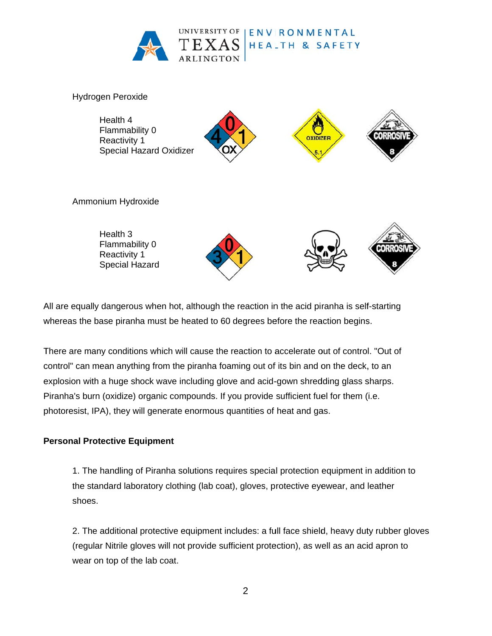

Hydrogen Peroxide





Health 3 Flammability 0 Reactivity 1



All are equally dangerous when hot, although the reaction in the acid piranha is self-starting whereas the base piranha must be heated to 60 degrees before the reaction begins.

There are many conditions which will cause the reaction to accelerate out of control. "Out of control" can mean anything from the piranha foaming out of its bin and on the deck, to an explosion with a huge shock wave including glove and acid-gown shredding glass sharps. Piranha's burn (oxidize) organic compounds. If you provide sufficient fuel for them (i.e. photoresist, IPA), they will generate enormous quantities of heat and gas.

## **Personal Protective Equipment**

1. The handling of Piranha solutions requires special protection equipment in addition to the standard laboratory clothing (lab coat), gloves, protective eyewear, and leather shoes.

2. The additional protective equipment includes: a full face shield, heavy duty rubber gloves (regular Nitrile gloves will not provide sufficient protection), as well as an acid apron to wear on top of the lab coat.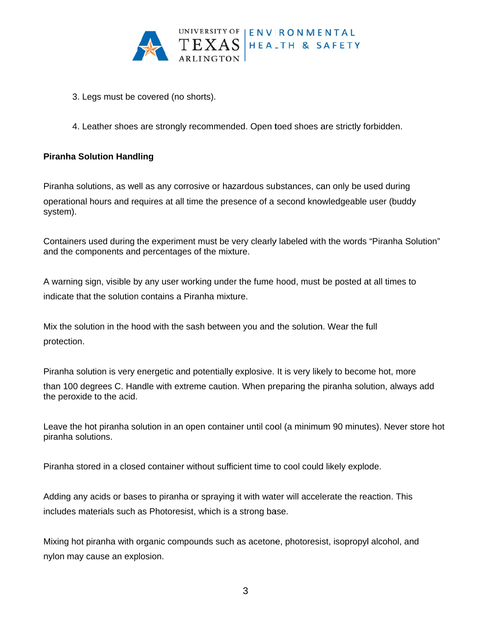

- 3. Legs must be covered (no shorts).
- 4. Leather shoes are strongly recommended. Open toed shoes are strictly forbidden.

#### **Piranha Solution Handling**

Piranha solutions, as well as any corrosive or hazardous substances, can only be used during operational hours and requires at all time the presence of a second knowledgeable user (buddy system).

Containers used during the experiment must be very clearly labeled with the words "Piranha Solution" and the components and percentages of the mixture.

A warning sign, visible by any user working under the fume hood, must be posted at all times to indicate that the solution contains a Piranha mixture.

Mix the solution in the hood with the sash between you and the solution. Wear the full protection.

Piranha solution is very energetic and potentially explosive. It is very likely to become hot, more than 100 degrees C. Handle with extreme caution. When preparing the piranha solution, always add the peroxide to the acid.

Leave the hot piranha solution in an open container until cool (a minimum 90 minutes). Never store hot piranha solutions.

Piranha stored in a closed container without sufficient time to cool could likely explode.

Adding any acids or bases to piranha or spraying it with water will accelerate the reaction. This includes materials such as Photoresist, which is a strong base.

Mixing hot piranha with organic compounds such as acetone, photoresist, isopropyl alcohol, and nylon may cause an explosion.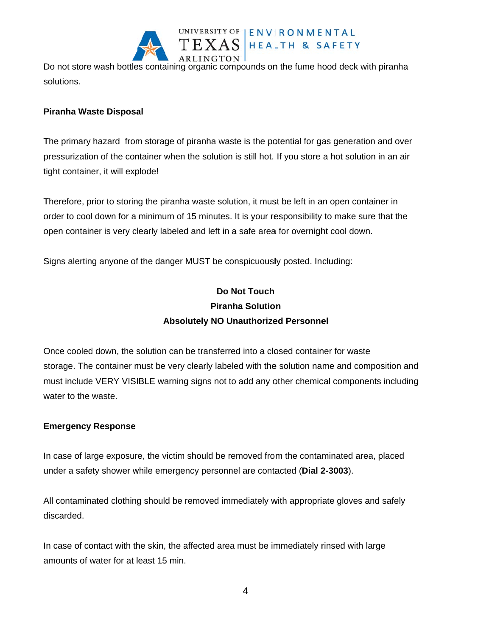

Do not store wash bottles containing organic compounds on the fume hood deck with piranha s solutions.

UNIVERSITY OF | ENVIRONMENTAL **EXAS HEALTH & SAFETY** 

#### **Piranha Waste Disposal**

The primary hazard from storage of piranha waste is the potential for gas generation and over pressurization of the container when the solution is still hot. If you store a hot solution in an air tight container, it will explode!

Therefore, prior to storing the piranha waste solution, it must be left in an open container in order to cool down for a minimum of 15 minutes. It is your responsibility to make sure that the open container is very clearly labeled and left in a safe area for overnight cool down.

Signs alerting anyone of the danger MUST be conspicuously posted. Including:

# **Absolutely NO Unauthorized Personnel Do Not Touch Piranha Solution**

Once cooled down, the solution can be transferred into a closed container for waste Once cooled down, the solution can be transferred into a closed container for waste<br>storage. The container must be very clearly labeled with the solution name and composition and must include VERY VISIBLE warning signs not to add any other chemical components including w water to the waste.

## **E Emergency Response**

In case of large exposure, the victim should be removed from the contaminated area, placed under a safety shower while emergency personnel are contacted (Dial 2-3003).

All contaminated clothing should be removed immediately with appropriate gloves and safely d discarded.

In case of contact with the skin, the affected area must be immediately rinsed with large amounts of water for at least 15 min.